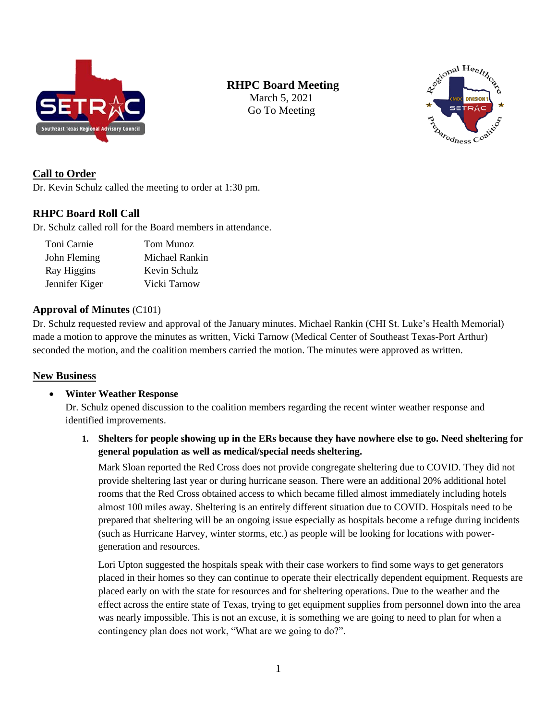

# **RHPC Board Meeting**

March 5, 2021 Go To Meeting



# **Call to Order**

Dr. Kevin Schulz called the meeting to order at 1:30 pm.

## **RHPC Board Roll Call**

Dr. Schulz called roll for the Board members in attendance.

| Toni Carnie    | Tom Munoz      |  |  |
|----------------|----------------|--|--|
| John Fleming   | Michael Rankin |  |  |
| Ray Higgins    | Kevin Schulz   |  |  |
| Jennifer Kiger | Vicki Tarnow   |  |  |

## **Approval of Minutes** (C101)

Dr. Schulz requested review and approval of the January minutes. Michael Rankin (CHI St. Luke's Health Memorial) made a motion to approve the minutes as written, Vicki Tarnow (Medical Center of Southeast Texas-Port Arthur) seconded the motion, and the coalition members carried the motion. The minutes were approved as written.

## **New Business**

## • **Winter Weather Response**

Dr. Schulz opened discussion to the coalition members regarding the recent winter weather response and identified improvements.

## **1. Shelters for people showing up in the ERs because they have nowhere else to go. Need sheltering for general population as well as medical/special needs sheltering.**

Mark Sloan reported the Red Cross does not provide congregate sheltering due to COVID. They did not provide sheltering last year or during hurricane season. There were an additional 20% additional hotel rooms that the Red Cross obtained access to which became filled almost immediately including hotels almost 100 miles away. Sheltering is an entirely different situation due to COVID. Hospitals need to be prepared that sheltering will be an ongoing issue especially as hospitals become a refuge during incidents (such as Hurricane Harvey, winter storms, etc.) as people will be looking for locations with powergeneration and resources.

Lori Upton suggested the hospitals speak with their case workers to find some ways to get generators placed in their homes so they can continue to operate their electrically dependent equipment. Requests are placed early on with the state for resources and for sheltering operations. Due to the weather and the effect across the entire state of Texas, trying to get equipment supplies from personnel down into the area was nearly impossible. This is not an excuse, it is something we are going to need to plan for when a contingency plan does not work, "What are we going to do?".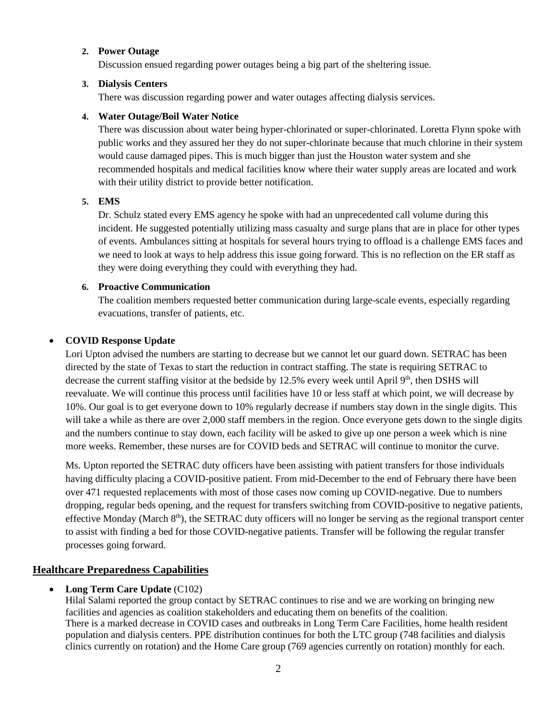### **2. Power Outage**

Discussion ensued regarding power outages being a big part of the sheltering issue.

#### **3. Dialysis Centers**

There was discussion regarding power and water outages affecting dialysis services.

#### **4. Water Outage/Boil Water Notice**

There was discussion about water being hyper-chlorinated or super-chlorinated. Loretta Flynn spoke with public works and they assured her they do not super-chlorinate because that much chlorine in their system would cause damaged pipes. This is much bigger than just the Houston water system and she recommended hospitals and medical facilities know where their water supply areas are located and work with their utility district to provide better notification.

### **5. EMS**

Dr. Schulz stated every EMS agency he spoke with had an unprecedented call volume during this incident. He suggested potentially utilizing mass casualty and surge plans that are in place for other types of events. Ambulances sitting at hospitals for several hours trying to offload is a challenge EMS faces and we need to look at ways to help address this issue going forward. This is no reflection on the ER staff as they were doing everything they could with everything they had.

### **6. Proactive Communication**

The coalition members requested better communication during large-scale events, especially regarding evacuations, transfer of patients, etc.

### • **COVID Response Update**

Lori Upton advised the numbers are starting to decrease but we cannot let our guard down. SETRAC has been directed by the state of Texas to start the reduction in contract staffing. The state is requiring SETRAC to decrease the current staffing visitor at the bedside by 12.5% every week until April 9<sup>th</sup>, then DSHS will reevaluate. We will continue this process until facilities have 10 or less staff at which point, we will decrease by 10%. Our goal is to get everyone down to 10% regularly decrease if numbers stay down in the single digits. This will take a while as there are over 2,000 staff members in the region. Once everyone gets down to the single digits and the numbers continue to stay down, each facility will be asked to give up one person a week which is nine more weeks. Remember, these nurses are for COVID beds and SETRAC will continue to monitor the curve.

Ms. Upton reported the SETRAC duty officers have been assisting with patient transfers for those individuals having difficulty placing a COVID-positive patient. From mid-December to the end of February there have been over 471 requested replacements with most of those cases now coming up COVID-negative. Due to numbers dropping, regular beds opening, and the request for transfers switching from COVID-positive to negative patients, effective Monday (March  $8<sup>th</sup>$ ), the SETRAC duty officers will no longer be serving as the regional transport center to assist with finding a bed for those COVID-negative patients. Transfer will be following the regular transfer processes going forward.

## **Healthcare Preparedness Capabilities**

### • **Long Term Care Update** (C102)

Hilal Salami reported the group contact by SETRAC continues to rise and we are working on bringing new facilities and agencies as coalition stakeholders and educating them on benefits of the coalition. There is a marked decrease in COVID cases and outbreaks in Long Term Care Facilities, home health resident population and dialysis centers. PPE distribution continues for both the LTC group (748 facilities and dialysis clinics currently on rotation) and the Home Care group (769 agencies currently on rotation) monthly for each.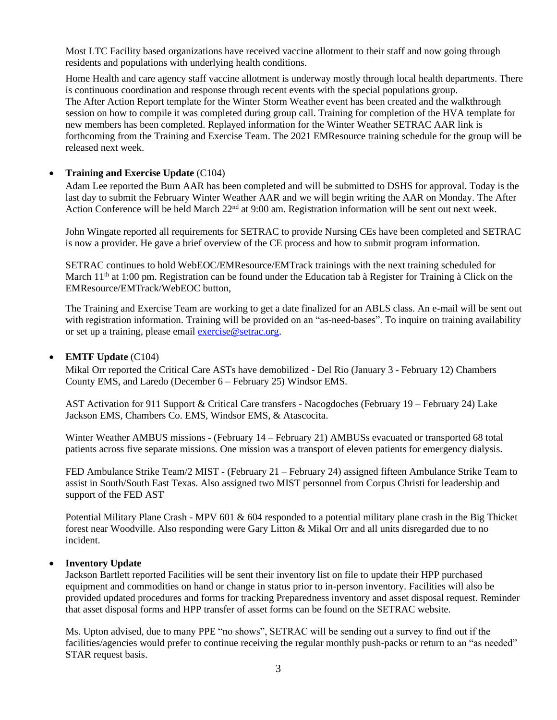Most LTC Facility based organizations have received vaccine allotment to their staff and now going through residents and populations with underlying health conditions.

Home Health and care agency staff vaccine allotment is underway mostly through local health departments. There is continuous coordination and response through recent events with the special populations group. The After Action Report template for the Winter Storm Weather event has been created and the walkthrough session on how to compile it was completed during group call. Training for completion of the HVA template for new members has been completed. Replayed information for the Winter Weather SETRAC AAR link is forthcoming from the Training and Exercise Team. The 2021 EMResource training schedule for the group will be released next week.

### • **Training and Exercise Update** (C104)

Adam Lee reported the Burn AAR has been completed and will be submitted to DSHS for approval. Today is the last day to submit the February Winter Weather AAR and we will begin writing the AAR on Monday. The After Action Conference will be held March 22<sup>nd</sup> at 9:00 am. Registration information will be sent out next week.

John Wingate reported all requirements for SETRAC to provide Nursing CEs have been completed and SETRAC is now a provider. He gave a brief overview of the CE process and how to submit program information.

SETRAC continues to hold WebEOC/EMResource/EMTrack trainings with the next training scheduled for March 11<sup>th</sup> at 1:00 pm. Registration can be found under the Education tab à Register for Training à Click on the EMResource/EMTrack/WebEOC button,

The Training and Exercise Team are working to get a date finalized for an ABLS class. An e-mail will be sent out with registration information. Training will be provided on an "as-need-bases". To inquire on training availability or set up a training, please email [exercise@setrac.org.](mailto:exercise@setrac.org)

#### • **EMTF Update** (C104)

Mikal Orr reported the Critical Care ASTs have demobilized - Del Rio (January 3 - February 12) Chambers County EMS, and Laredo (December 6 – February 25) Windsor EMS.

AST Activation for 911 Support & Critical Care transfers - Nacogdoches (February 19 – February 24) Lake Jackson EMS, Chambers Co. EMS, Windsor EMS, & Atascocita.

Winter Weather AMBUS missions - (February 14 – February 21) AMBUSs evacuated or transported 68 total patients across five separate missions. One mission was a transport of eleven patients for emergency dialysis.

FED Ambulance Strike Team/2 MIST - (February 21 – February 24) assigned fifteen Ambulance Strike Team to assist in South/South East Texas. Also assigned two MIST personnel from Corpus Christi for leadership and support of the FED AST

Potential Military Plane Crash - MPV 601 & 604 responded to a potential military plane crash in the Big Thicket forest near Woodville. Also responding were Gary Litton & Mikal Orr and all units disregarded due to no incident.

#### • **Inventory Update**

Jackson Bartlett reported Facilities will be sent their inventory list on file to update their HPP purchased equipment and commodities on hand or change in status prior to in-person inventory. Facilities will also be provided updated procedures and forms for tracking Preparedness inventory and asset disposal request. Reminder that asset disposal forms and HPP transfer of asset forms can be found on the SETRAC website.

Ms. Upton advised, due to many PPE "no shows", SETRAC will be sending out a survey to find out if the facilities/agencies would prefer to continue receiving the regular monthly push-packs or return to an "as needed" STAR request basis.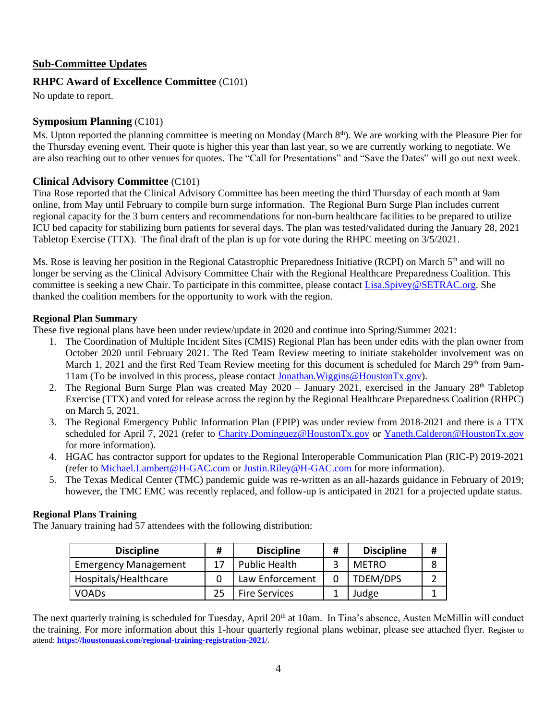## **Sub-Committee Updates**

## **RHPC Award of Excellence Committee** (C101)

No update to report.

## **Symposium Planning** (C101)

Ms. Upton reported the planning committee is meeting on Monday (March 8<sup>th</sup>). We are working with the Pleasure Pier for the Thursday evening event. Their quote is higher this year than last year, so we are currently working to negotiate. We are also reaching out to other venues for quotes. The "Call for Presentations" and "Save the Dates" will go out next week.

## **Clinical Advisory Committee** (C101)

Tina Rose reported that the Clinical Advisory Committee has been meeting the third Thursday of each month at 9am online, from May until February to compile burn surge information. The Regional Burn Surge Plan includes current regional capacity for the 3 burn centers and recommendations for non-burn healthcare facilities to be prepared to utilize ICU bed capacity for stabilizing burn patients for several days. The plan was tested/validated during the January 28, 2021 Tabletop Exercise (TTX). The final draft of the plan is up for vote during the RHPC meeting on 3/5/2021.

Ms. Rose is leaving her position in the Regional Catastrophic Preparedness Initiative (RCPI) on March 5<sup>th</sup> and will no longer be serving as the Clinical Advisory Committee Chair with the Regional Healthcare Preparedness Coalition. This committee is seeking a new Chair. To participate in this committee, please contact [Lisa.Spivey@SETRAC.org.](mailto:Lisa.Spivey@SETRAC.org) She thanked the coalition members for the opportunity to work with the region.

### **Regional Plan Summary**

These five regional plans have been under review/update in 2020 and continue into Spring/Summer 2021:

- 1. The Coordination of Multiple Incident Sites (CMIS) Regional Plan has been under edits with the plan owner from October 2020 until February 2021. The Red Team Review meeting to initiate stakeholder involvement was on March 1, 2021 and the first Red Team Review meeting for this document is scheduled for March 29<sup>th</sup> from 9am-11am (To be involved in this process, please contact [Jonathan.Wiggins@HoustonTx.gov\)](mailto:Jonathan.Wiggins@HoustonTx.gov).
- 2. The Regional Burn Surge Plan was created May  $2020 -$  January 2021, exercised in the January  $28<sup>th</sup>$  Tabletop Exercise (TTX) and voted for release across the region by the Regional Healthcare Preparedness Coalition (RHPC) on March 5, 2021.
- 3. The Regional Emergency Public Information Plan (EPIP) was under review from 2018-2021 and there is a TTX scheduled for April 7, 2021 (refer to [Charity.Dominguez@HoustonTx.gov](mailto:Charity.Dominguez@HoustonTx.gov) or [Yaneth.Calderon@HoustonTx.gov](mailto:Yaneth.Calderon@HoustonTx.gov) for more information).
- 4. HGAC has contractor support for updates to the Regional Interoperable Communication Plan (RIC-P) 2019-2021 (refer to [Michael.Lambert@H-GAC.com](mailto:Michael.Lambert@H-GAC.com) or [Justin.Riley@H-GAC.com](mailto:Justin.Riley@H-GAC.com) for more information).
- 5. The Texas Medical Center (TMC) pandemic guide was re-written as an all-hazards guidance in February of 2019; however, the TMC EMC was recently replaced, and follow-up is anticipated in 2021 for a projected update status.

## **Regional Plans Training**

The January training had 57 attendees with the following distribution:

| <b>Discipline</b>           | Ħ | <b>Discipline</b>    | # | <b>Discipline</b> |  |
|-----------------------------|---|----------------------|---|-------------------|--|
| <b>Emergency Management</b> |   | Public Health        |   | <b>METRO</b>      |  |
| Hospitals/Healthcare        |   | Law Enforcement      |   | TDEM/DPS          |  |
| <b>VOADs</b>                |   | <b>Fire Services</b> |   | Judge             |  |

The next quarterly training is scheduled for Tuesday, April 20<sup>th</sup> at 10am. In Tina's absence, Austen McMillin will conduct the training. For more information about this 1-hour quarterly regional plans webinar, please see attached flyer. Register to attend: **[https://houstonuasi.com/regional-training-registration-2021/.](https://nam04.safelinks.protection.outlook.com/?url=https%3A%2F%2Fhoustonuasi.com%2Fregional-training-registration-2021%2F&data=04%7C01%7CRoxie.Ward%40setrac.org%7Cdba743c6a43042ce491e08d8df0b7762%7Cb728087c80e84d318b6f7e0e3be10e08%7C0%7C0%7C637504587666224116%7CUnknown%7CTWFpbGZsb3d8eyJWIjoiMC4wLjAwMDAiLCJQIjoiV2luMzIiLCJBTiI6Ik1haWwiLCJXVCI6Mn0%3D%7C1000&sdata=3LhUctapV11NCvoI1lM1shOnQ8ZIJS1eT8q3uBJFu6Q%3D&reserved=0)**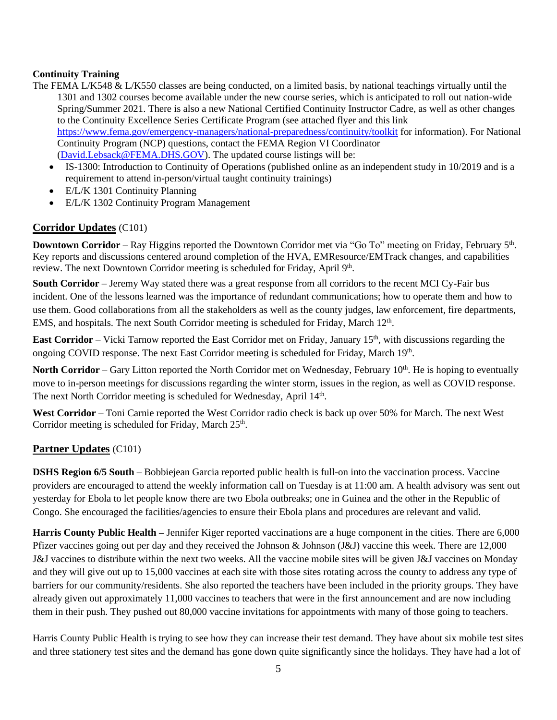## **Continuity Training**

- The FEMA L/K548 & L/K550 classes are being conducted, on a limited basis, by national teachings virtually until the 1301 and 1302 courses become available under the new course series, which is anticipated to roll out nation-wide Spring/Summer 2021. There is also a new National Certified Continuity Instructor Cadre, as well as other changes to the Continuity Excellence Series Certificate Program (see attached flyer and this link [https://www.fema.gov/emergency-managers/national-preparedness/continuity/toolkit](https://nam04.safelinks.protection.outlook.com/?url=https%3A%2F%2Fwww.fema.gov%2Femergency-managers%2Fnational-preparedness%2Fcontinuity%2Ftoolkit&data=04%7C01%7CRoxie.Ward%40setrac.org%7Cdba743c6a43042ce491e08d8df0b7762%7Cb728087c80e84d318b6f7e0e3be10e08%7C0%7C0%7C637504587666234071%7CUnknown%7CTWFpbGZsb3d8eyJWIjoiMC4wLjAwMDAiLCJQIjoiV2luMzIiLCJBTiI6Ik1haWwiLCJXVCI6Mn0%3D%7C1000&sdata=hMrSv%2BiZA6gMIrRB3eHSg61NysLUQVwvsS8xcZuZzAY%3D&reserved=0) for information). For National Continuity Program (NCP) questions, contact the FEMA Region VI Coordinator [\(David.Lebsack@FEMA.DHS.GOV\)](mailto:David.Lebsack@FEMA.DHS.GOV). The updated course listings will be:
	- IS-1300: Introduction to Continuity of Operations (published online as an independent study in 10/2019 and is a requirement to attend in-person/virtual taught continuity trainings)
	- E/L/K 1301 Continuity Planning
	- E/L/K 1302 Continuity Program Management

# **Corridor Updates** (C101)

**Downtown Corridor** – Ray Higgins reported the Downtown Corridor met via "Go To" meeting on Friday, February 5<sup>th</sup>. Key reports and discussions centered around completion of the HVA, EMResource/EMTrack changes, and capabilities review. The next Downtown Corridor meeting is scheduled for Friday, April 9th.

**South Corridor** – Jeremy Way stated there was a great response from all corridors to the recent MCI Cy-Fair bus incident. One of the lessons learned was the importance of redundant communications; how to operate them and how to use them. Good collaborations from all the stakeholders as well as the county judges, law enforcement, fire departments, EMS, and hospitals. The next South Corridor meeting is scheduled for Friday, March 12<sup>th</sup>.

**East Corridor** – Vicki Tarnow reported the East Corridor met on Friday, January 15<sup>th</sup>, with discussions regarding the ongoing COVID response. The next East Corridor meeting is scheduled for Friday, March 19th.

**North Corridor** – Gary Litton reported the North Corridor met on Wednesday, February 10<sup>th</sup>. He is hoping to eventually move to in-person meetings for discussions regarding the winter storm, issues in the region, as well as COVID response. The next North Corridor meeting is scheduled for Wednesday, April 14<sup>th</sup>.

**West Corridor** – Toni Carnie reported the West Corridor radio check is back up over 50% for March. The next West Corridor meeting is scheduled for Friday, March 25<sup>th</sup>.

# **Partner Updates** (C101)

**DSHS Region 6/5 South** – Bobbiejean Garcia reported public health is full-on into the vaccination process. Vaccine providers are encouraged to attend the weekly information call on Tuesday is at 11:00 am. A health advisory was sent out yesterday for Ebola to let people know there are two Ebola outbreaks; one in Guinea and the other in the Republic of Congo. She encouraged the facilities/agencies to ensure their Ebola plans and procedures are relevant and valid.

**Harris County Public Health –** Jennifer Kiger reported vaccinations are a huge component in the cities. There are 6,000 Pfizer vaccines going out per day and they received the Johnson & Johnson (J&J) vaccine this week. There are 12,000 J&J vaccines to distribute within the next two weeks. All the vaccine mobile sites will be given J&J vaccines on Monday and they will give out up to 15,000 vaccines at each site with those sites rotating across the county to address any type of barriers for our community/residents. She also reported the teachers have been included in the priority groups. They have already given out approximately 11,000 vaccines to teachers that were in the first announcement and are now including them in their push. They pushed out 80,000 vaccine invitations for appointments with many of those going to teachers.

Harris County Public Health is trying to see how they can increase their test demand. They have about six mobile test sites and three stationery test sites and the demand has gone down quite significantly since the holidays. They have had a lot of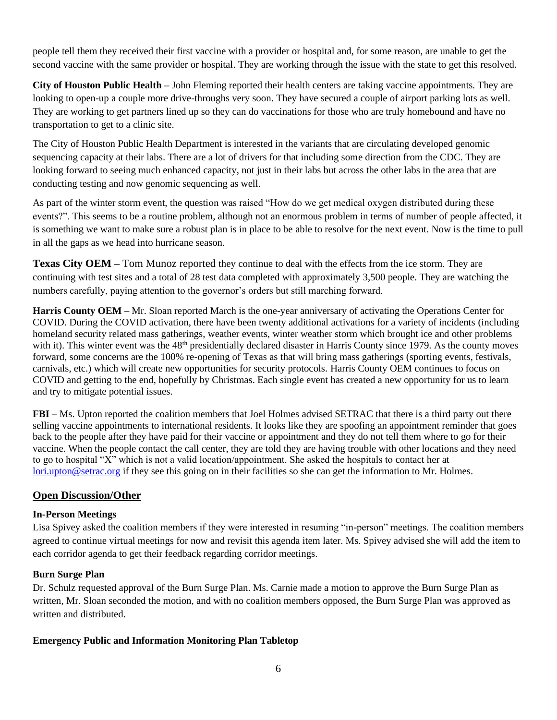people tell them they received their first vaccine with a provider or hospital and, for some reason, are unable to get the second vaccine with the same provider or hospital. They are working through the issue with the state to get this resolved.

**City of Houston Public Health –** John Fleming reported their health centers are taking vaccine appointments. They are looking to open-up a couple more drive-throughs very soon. They have secured a couple of airport parking lots as well. They are working to get partners lined up so they can do vaccinations for those who are truly homebound and have no transportation to get to a clinic site.

The City of Houston Public Health Department is interested in the variants that are circulating developed genomic sequencing capacity at their labs. There are a lot of drivers for that including some direction from the CDC. They are looking forward to seeing much enhanced capacity, not just in their labs but across the other labs in the area that are conducting testing and now genomic sequencing as well.

As part of the winter storm event, the question was raised "How do we get medical oxygen distributed during these events?". This seems to be a routine problem, although not an enormous problem in terms of number of people affected, it is something we want to make sure a robust plan is in place to be able to resolve for the next event. Now is the time to pull in all the gaps as we head into hurricane season.

**Texas City OEM –** Tom Munoz reported they continue to deal with the effects from the ice storm. They are continuing with test sites and a total of 28 test data completed with approximately 3,500 people. They are watching the numbers carefully, paying attention to the governor's orders but still marching forward.

**Harris County OEM –** Mr. Sloan reported March is the one-year anniversary of activating the Operations Center for COVID. During the COVID activation, there have been twenty additional activations for a variety of incidents (including homeland security related mass gatherings, weather events, winter weather storm which brought ice and other problems with it). This winter event was the 48<sup>th</sup> presidentially declared disaster in Harris County since 1979. As the county moves forward, some concerns are the 100% re-opening of Texas as that will bring mass gatherings (sporting events, festivals, carnivals, etc.) which will create new opportunities for security protocols. Harris County OEM continues to focus on COVID and getting to the end, hopefully by Christmas. Each single event has created a new opportunity for us to learn and try to mitigate potential issues.

**FBI –** Ms. Upton reported the coalition members that Joel Holmes advised SETRAC that there is a third party out there selling vaccine appointments to international residents. It looks like they are spoofing an appointment reminder that goes back to the people after they have paid for their vaccine or appointment and they do not tell them where to go for their vaccine. When the people contact the call center, they are told they are having trouble with other locations and they need to go to hospital "X" which is not a valid location/appointment. She asked the hospitals to contact her at [lori.upton@setrac.org](mailto:lori.upton@setrac.org) if they see this going on in their facilities so she can get the information to Mr. Holmes.

## **Open Discussion/Other**

## **In-Person Meetings**

Lisa Spivey asked the coalition members if they were interested in resuming "in-person" meetings. The coalition members agreed to continue virtual meetings for now and revisit this agenda item later. Ms. Spivey advised she will add the item to each corridor agenda to get their feedback regarding corridor meetings.

### **Burn Surge Plan**

Dr. Schulz requested approval of the Burn Surge Plan. Ms. Carnie made a motion to approve the Burn Surge Plan as written, Mr. Sloan seconded the motion, and with no coalition members opposed, the Burn Surge Plan was approved as written and distributed.

## **Emergency Public and Information Monitoring Plan Tabletop**